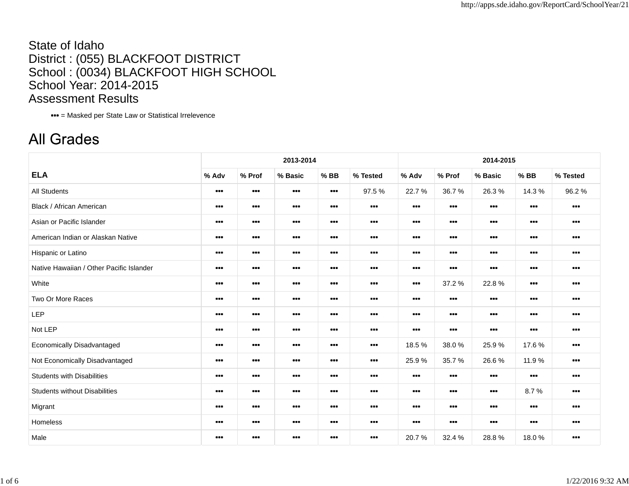## State of IdahoDistrict : (055) BLACKFOOT DISTRICT School : (0034) BLACKFOOT HIGH SCHOOL School Year: 2014-2015 Assessment Results

= Masked per State Law or Statistical Irrelevence

## **All Grades**

|                                          |                                                              |                                                              | 2013-2014                                                    |                                                              |                                                              |                                                              | 2014-2015<br>% Prof<br>$%$ BB<br>% Tested<br>% Basic<br>36.7%<br>26.3%<br>14.3 %<br>96.2%<br>$\begin{array}{cc} \bullet & \bullet & \bullet \end{array}$<br>$\begin{array}{c} \bullet \bullet \bullet \end{array}$<br>$\begin{array}{c} \bullet\bullet\bullet\end{array}$<br>$\begin{array}{c} \bullet\bullet\bullet \end{array}$<br>$\begin{array}{ccc} \bullet & \bullet & \bullet \end{array}$<br>$\begin{array}{ccc} \bullet & \bullet & \bullet \end{array}$<br>$\begin{array}{ccc} \bullet & \bullet & \bullet \end{array}$<br>$\begin{array}{ccc} \bullet & \bullet & \bullet \end{array}$<br>$\begin{array}{ccc} \bullet & \bullet & \bullet \end{array}$<br>$\bullet\bullet\bullet$<br>$\bullet\bullet\bullet$<br>$\begin{array}{ccc} \bullet & \bullet & \bullet \end{array}$<br>$\begin{array}{cc} \bullet & \bullet & \bullet \end{array}$<br>$\begin{array}{cc} \bullet & \bullet & \bullet \end{array}$<br>$\begin{array}{ccc} \bullet & \bullet & \bullet \end{array}$<br>$\begin{array}{c} \bullet\bullet\bullet \end{array}$<br>$\begin{array}{cc} \bullet & \bullet & \bullet \end{array}$<br>$\begin{array}{c} \bullet\bullet\bullet \end{array}$<br>$\begin{array}{cc} \bullet & \bullet & \bullet \end{array}$<br>$\begin{array}{cc} \bullet & \bullet & \bullet \end{array}$<br>37.2 %<br>22.8%<br>$\bullet\bullet\bullet$<br>$\begin{array}{ccc} \bullet & \bullet & \bullet \end{array}$ |                                                              |                                                              |                                                              |  |  |  |  |  |
|------------------------------------------|--------------------------------------------------------------|--------------------------------------------------------------|--------------------------------------------------------------|--------------------------------------------------------------|--------------------------------------------------------------|--------------------------------------------------------------|------------------------------------------------------------------------------------------------------------------------------------------------------------------------------------------------------------------------------------------------------------------------------------------------------------------------------------------------------------------------------------------------------------------------------------------------------------------------------------------------------------------------------------------------------------------------------------------------------------------------------------------------------------------------------------------------------------------------------------------------------------------------------------------------------------------------------------------------------------------------------------------------------------------------------------------------------------------------------------------------------------------------------------------------------------------------------------------------------------------------------------------------------------------------------------------------------------------------------------------------------------------------------------------------------------------------------------------------------------------------------------------------------------------|--------------------------------------------------------------|--------------------------------------------------------------|--------------------------------------------------------------|--|--|--|--|--|
| <b>ELA</b>                               | % Adv                                                        | % Prof                                                       | % Basic                                                      | $%$ BB                                                       | % Tested                                                     | % Adv                                                        |                                                                                                                                                                                                                                                                                                                                                                                                                                                                                                                                                                                                                                                                                                                                                                                                                                                                                                                                                                                                                                                                                                                                                                                                                                                                                                                                                                                                                  |                                                              |                                                              |                                                              |  |  |  |  |  |
| <b>All Students</b>                      | $\begin{array}{cc} \bullet & \bullet & \bullet \end{array}$  | $\begin{array}{c} \bullet\bullet\bullet \end{array}$         | $\begin{array}{cc} \bullet & \bullet & \bullet \end{array}$  | $\begin{array}{cc} \bullet & \bullet & \bullet \end{array}$  | 97.5%                                                        | 22.7%                                                        |                                                                                                                                                                                                                                                                                                                                                                                                                                                                                                                                                                                                                                                                                                                                                                                                                                                                                                                                                                                                                                                                                                                                                                                                                                                                                                                                                                                                                  |                                                              |                                                              |                                                              |  |  |  |  |  |
| Black / African American                 | $\begin{array}{ccc} \bullet & \bullet & \bullet \end{array}$ | $\begin{array}{c} \bullet\bullet\bullet \end{array}$         | $\begin{array}{cc} \bullet & \bullet & \bullet \end{array}$  | $\begin{array}{cc} \bullet & \bullet & \bullet \end{array}$  |                                                              |                                                              |                                                                                                                                                                                                                                                                                                                                                                                                                                                                                                                                                                                                                                                                                                                                                                                                                                                                                                                                                                                                                                                                                                                                                                                                                                                                                                                                                                                                                  |                                                              |                                                              |                                                              |  |  |  |  |  |
| Asian or Pacific Islander                | $\begin{array}{c} \bullet \bullet \bullet \end{array}$       | $\begin{array}{ccc} \bullet & \bullet & \bullet \end{array}$ | $\begin{array}{cc} \bullet & \bullet & \bullet \end{array}$  | $\begin{array}{cc} \bullet & \bullet & \bullet \end{array}$  | $\bullet\bullet\bullet$                                      |                                                              |                                                                                                                                                                                                                                                                                                                                                                                                                                                                                                                                                                                                                                                                                                                                                                                                                                                                                                                                                                                                                                                                                                                                                                                                                                                                                                                                                                                                                  |                                                              |                                                              |                                                              |  |  |  |  |  |
| American Indian or Alaskan Native        | $\begin{array}{c} \bullet\bullet\bullet \end{array}$         | $\begin{array}{ccc} \bullet & \bullet & \bullet \end{array}$ | $\begin{array}{cc} \bullet & \bullet & \bullet \end{array}$  | $\cdots$                                                     | $\cdots$                                                     | $\begin{array}{ccc} \bullet & \bullet & \bullet \end{array}$ |                                                                                                                                                                                                                                                                                                                                                                                                                                                                                                                                                                                                                                                                                                                                                                                                                                                                                                                                                                                                                                                                                                                                                                                                                                                                                                                                                                                                                  |                                                              |                                                              |                                                              |  |  |  |  |  |
| Hispanic or Latino                       | $\begin{array}{ccc} \bullet & \bullet & \bullet \end{array}$ | $\begin{array}{ccc} \bullet & \bullet & \bullet \end{array}$ | $\begin{array}{cc} \bullet & \bullet & \bullet \end{array}$  | $\begin{array}{cc} \bullet & \bullet & \bullet \end{array}$  | $\begin{array}{cc} \bullet & \bullet & \bullet \end{array}$  | $\begin{array}{cc} \bullet & \bullet & \bullet \end{array}$  |                                                                                                                                                                                                                                                                                                                                                                                                                                                                                                                                                                                                                                                                                                                                                                                                                                                                                                                                                                                                                                                                                                                                                                                                                                                                                                                                                                                                                  |                                                              |                                                              |                                                              |  |  |  |  |  |
| Native Hawaiian / Other Pacific Islander | $\begin{array}{c} \bullet\bullet\bullet\end{array}$          | $\begin{array}{cc} \bullet & \bullet & \bullet \end{array}$  | $\begin{array}{cc} \bullet & \bullet & \bullet \end{array}$  | $\begin{array}{c} \bullet\bullet\bullet \end{array}$         | $\cdots$                                                     |                                                              |                                                                                                                                                                                                                                                                                                                                                                                                                                                                                                                                                                                                                                                                                                                                                                                                                                                                                                                                                                                                                                                                                                                                                                                                                                                                                                                                                                                                                  |                                                              |                                                              |                                                              |  |  |  |  |  |
| White                                    | $\bullet\bullet\bullet$                                      | $\begin{array}{ccc} \bullet & \bullet & \bullet \end{array}$ | $\begin{array}{ccc} \bullet & \bullet & \bullet \end{array}$ | $\begin{array}{ccc} \bullet & \bullet & \bullet \end{array}$ | $\cdots$                                                     |                                                              |                                                                                                                                                                                                                                                                                                                                                                                                                                                                                                                                                                                                                                                                                                                                                                                                                                                                                                                                                                                                                                                                                                                                                                                                                                                                                                                                                                                                                  |                                                              |                                                              |                                                              |  |  |  |  |  |
| Two Or More Races                        | $\bullet\bullet\bullet$                                      | $\begin{array}{ccc} \bullet & \bullet & \bullet \end{array}$ | $\begin{array}{cc} \bullet & \bullet & \bullet \end{array}$  | $\begin{array}{cc} \bullet & \bullet & \bullet \end{array}$  | $\begin{array}{ccc} \bullet & \bullet & \bullet \end{array}$ | $\begin{array}{ccc} \bullet & \bullet & \bullet \end{array}$ | $\begin{array}{cc} \bullet & \bullet & \bullet \end{array}$                                                                                                                                                                                                                                                                                                                                                                                                                                                                                                                                                                                                                                                                                                                                                                                                                                                                                                                                                                                                                                                                                                                                                                                                                                                                                                                                                      | $\begin{array}{cc} \bullet & \bullet & \bullet \end{array}$  | $\begin{array}{cc} \bullet & \bullet & \bullet \end{array}$  | $\begin{array}{cc} \bullet & \bullet & \bullet \end{array}$  |  |  |  |  |  |
| LEP                                      | $\begin{array}{ccc} \bullet & \bullet & \bullet \end{array}$ | $\begin{array}{ccc} \bullet & \bullet & \bullet \end{array}$ | $\begin{array}{ccc} \bullet & \bullet & \bullet \end{array}$ | $\bullet\bullet\bullet$                                      | $\begin{array}{cc} \bullet & \bullet & \bullet \end{array}$  | $\begin{array}{ccc} \bullet & \bullet & \bullet \end{array}$ | $\begin{array}{ccc} \bullet & \bullet & \bullet \end{array}$                                                                                                                                                                                                                                                                                                                                                                                                                                                                                                                                                                                                                                                                                                                                                                                                                                                                                                                                                                                                                                                                                                                                                                                                                                                                                                                                                     | $\begin{array}{ccc} \bullet & \bullet & \bullet \end{array}$ | $\begin{array}{ccc} \bullet & \bullet & \bullet \end{array}$ | $\begin{array}{ccc} \bullet & \bullet & \bullet \end{array}$ |  |  |  |  |  |
| Not LEP                                  | $\begin{array}{ccc} \bullet & \bullet & \bullet \end{array}$ | $\begin{array}{c} \bullet\bullet\bullet \end{array}$         | $\begin{array}{ccc} \bullet & \bullet & \bullet \end{array}$ | $\begin{array}{c} \bullet\bullet\bullet \end{array}$         | $\cdots$                                                     |                                                              | $\begin{array}{cc} \bullet & \bullet & \bullet \end{array}$                                                                                                                                                                                                                                                                                                                                                                                                                                                                                                                                                                                                                                                                                                                                                                                                                                                                                                                                                                                                                                                                                                                                                                                                                                                                                                                                                      | $\begin{array}{c} \bullet\bullet\bullet \end{array}$         | $\begin{array}{ccc} \bullet & \bullet & \bullet \end{array}$ | $\begin{array}{cc} \bullet & \bullet & \bullet \end{array}$  |  |  |  |  |  |
| Economically Disadvantaged               | $\begin{array}{ccc} \bullet & \bullet & \bullet \end{array}$ | $\begin{array}{ccc} \bullet & \bullet & \bullet \end{array}$ | $\begin{array}{ccc} \bullet & \bullet & \bullet \end{array}$ | $\begin{array}{ccc} \bullet & \bullet & \bullet \end{array}$ | $\begin{array}{cc} \bullet & \bullet & \bullet \end{array}$  | 18.5%                                                        | 38.0%                                                                                                                                                                                                                                                                                                                                                                                                                                                                                                                                                                                                                                                                                                                                                                                                                                                                                                                                                                                                                                                                                                                                                                                                                                                                                                                                                                                                            | 25.9%                                                        | 17.6%                                                        | $\begin{array}{ccc} \bullet & \bullet & \bullet \end{array}$ |  |  |  |  |  |
| Not Economically Disadvantaged           | $\begin{array}{cc} \bullet & \bullet & \bullet \end{array}$  | $\begin{array}{c} \bullet\bullet\bullet \end{array}$         | $\begin{array}{cc} \bullet & \bullet & \bullet \end{array}$  | $\begin{array}{cc} \bullet & \bullet & \bullet \end{array}$  | $\begin{array}{cc} \bullet & \bullet & \bullet \end{array}$  | 25.9%                                                        | 35.7%                                                                                                                                                                                                                                                                                                                                                                                                                                                                                                                                                                                                                                                                                                                                                                                                                                                                                                                                                                                                                                                                                                                                                                                                                                                                                                                                                                                                            | 26.6%                                                        | 11.9 %                                                       | $\begin{array}{ccc} \bullet & \bullet & \bullet \end{array}$ |  |  |  |  |  |
| <b>Students with Disabilities</b>        | $\begin{array}{ccc} \bullet & \bullet & \bullet \end{array}$ | $\begin{array}{c} \bullet\bullet\bullet \end{array}$         | $\begin{array}{cc} \bullet & \bullet & \bullet \end{array}$  | $\begin{array}{cc} \bullet & \bullet & \bullet \end{array}$  | $\begin{array}{cc} \bullet & \bullet & \bullet \end{array}$  | $\begin{array}{cc} \bullet & \bullet & \bullet \end{array}$  | $\begin{array}{cc} \bullet & \bullet & \bullet \end{array}$                                                                                                                                                                                                                                                                                                                                                                                                                                                                                                                                                                                                                                                                                                                                                                                                                                                                                                                                                                                                                                                                                                                                                                                                                                                                                                                                                      | $\begin{array}{cc} \bullet & \bullet & \bullet \end{array}$  | $\begin{array}{cc} \bullet & \bullet & \bullet \end{array}$  | $\begin{array}{c} \bullet\bullet\bullet \end{array}$         |  |  |  |  |  |
| <b>Students without Disabilities</b>     | $\begin{array}{c} \bullet\bullet\bullet \end{array}$         | $\begin{array}{c} \bullet\bullet\bullet \end{array}$         | $\begin{array}{cc} \bullet & \bullet & \bullet \end{array}$  | $\begin{array}{c} \bullet\bullet\bullet \end{array}$         | $\cdots$                                                     | $\begin{array}{c} \bullet\bullet\bullet \end{array}$         | $\begin{array}{c} \bullet\bullet\bullet\end{array}$                                                                                                                                                                                                                                                                                                                                                                                                                                                                                                                                                                                                                                                                                                                                                                                                                                                                                                                                                                                                                                                                                                                                                                                                                                                                                                                                                              | $\begin{array}{c} \bullet\bullet\bullet \end{array}$         | 8.7%                                                         | $\begin{array}{c} \bullet\bullet\bullet \end{array}$         |  |  |  |  |  |
| Migrant                                  | $\begin{array}{cc} \bullet & \bullet & \bullet \end{array}$  | $\begin{array}{ccc} \bullet & \bullet & \bullet \end{array}$ | $\begin{array}{cc} \bullet & \bullet & \bullet \end{array}$  | $\begin{array}{cc} \bullet & \bullet & \bullet \end{array}$  | $\begin{array}{cc} \bullet & \bullet & \bullet \end{array}$  | $\begin{array}{cc} \bullet & \bullet & \bullet \end{array}$  | $\begin{array}{cc} \bullet & \bullet & \bullet \end{array}$                                                                                                                                                                                                                                                                                                                                                                                                                                                                                                                                                                                                                                                                                                                                                                                                                                                                                                                                                                                                                                                                                                                                                                                                                                                                                                                                                      | $\begin{array}{cc} \bullet & \bullet & \bullet \end{array}$  | $\bullet\bullet\bullet$                                      | $\begin{array}{c} \bullet\bullet\bullet \end{array}$         |  |  |  |  |  |
| Homeless                                 | $\begin{array}{ccc} \bullet & \bullet & \bullet \end{array}$ | $\begin{array}{ccc} \bullet & \bullet & \bullet \end{array}$ | $\bullet\bullet\bullet$                                      | $\bullet\bullet\bullet$                                      | $\bullet\bullet\bullet$                                      | $\bullet\bullet\bullet$                                      | $\begin{array}{ccc} \bullet & \bullet & \bullet \end{array}$                                                                                                                                                                                                                                                                                                                                                                                                                                                                                                                                                                                                                                                                                                                                                                                                                                                                                                                                                                                                                                                                                                                                                                                                                                                                                                                                                     | $\bullet\bullet\bullet$                                      | $\bullet\bullet\bullet$                                      | $\begin{array}{ccc} \bullet & \bullet & \bullet \end{array}$ |  |  |  |  |  |
| Male                                     | $\bullet\bullet\bullet$                                      | $\bullet\bullet\bullet$                                      |                                                              | $\bullet\bullet\bullet$                                      |                                                              | 20.7%                                                        | 32.4 %                                                                                                                                                                                                                                                                                                                                                                                                                                                                                                                                                                                                                                                                                                                                                                                                                                                                                                                                                                                                                                                                                                                                                                                                                                                                                                                                                                                                           | 28.8%                                                        | 18.0%                                                        | $\begin{array}{ccc} \bullet & \bullet & \bullet \end{array}$ |  |  |  |  |  |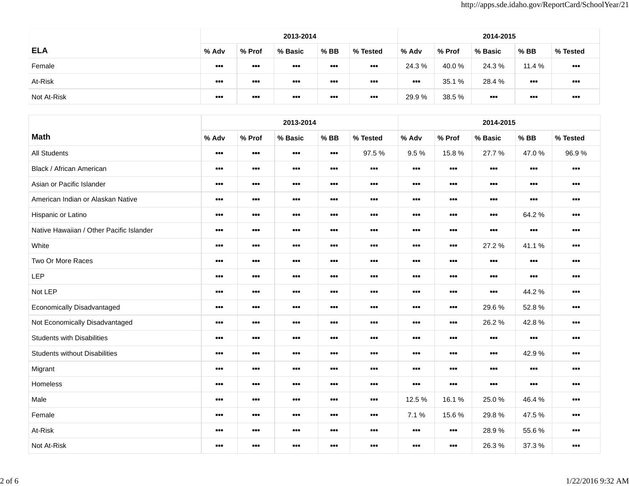|             |                         |                                                      | 2013-2014                                                    |                         |                                                              |                                                     |        | 2014-2015               |                                                              |                                                              |  |  |  |  |  |
|-------------|-------------------------|------------------------------------------------------|--------------------------------------------------------------|-------------------------|--------------------------------------------------------------|-----------------------------------------------------|--------|-------------------------|--------------------------------------------------------------|--------------------------------------------------------------|--|--|--|--|--|
| <b>ELA</b>  | % Adv                   | % Prof                                               | % Basic                                                      | $%$ BB                  | % Tested                                                     | % Adv                                               | % Prof | % Basic                 | % BB                                                         | % Tested                                                     |  |  |  |  |  |
| Female      | $\bullet\bullet\bullet$ | $\begin{array}{c} \bullet\bullet\bullet\end{array}$  | $\begin{array}{ccc} \bullet & \bullet & \bullet \end{array}$ | $\bullet\bullet\bullet$ | $\begin{array}{ccc} \bullet & \bullet & \bullet \end{array}$ | 24.3 %                                              | 40.0 % | 24.3 %                  | 11.4 %                                                       | $\begin{array}{ccc} \bullet & \bullet & \bullet \end{array}$ |  |  |  |  |  |
| At-Risk     | $\bullet\bullet\bullet$ | $\begin{array}{c} \bullet\bullet\bullet \end{array}$ | $\begin{array}{cc} \bullet & \bullet & \bullet \end{array}$  | $\bullet\bullet\bullet$ |                                                              | $\begin{array}{c} \bullet\bullet\bullet\end{array}$ | 35.1 % | 28.4 %                  | $\begin{array}{c} \bullet\bullet\bullet \end{array}$         | $\begin{array}{c} \bullet\bullet\bullet \end{array}$         |  |  |  |  |  |
| Not At-Risk | $\bullet\bullet\bullet$ | $\cdots$                                             | $\begin{array}{ccc} \bullet & \bullet & \bullet \end{array}$ | $\bullet\bullet\bullet$ | $\cdots$                                                     | 29.9 %                                              | 38.5 % | $\bullet\bullet\bullet$ | $\begin{array}{ccc} \bullet & \bullet & \bullet \end{array}$ | $\begin{array}{c} \bullet\bullet\bullet \end{array}$         |  |  |  |  |  |

|                                          |                                                              |                                                              | 2013-2014                                                    |                                                              |                                                             |                                                              |                                                              | 2014-2015                                                    |                                                             |                                                              |
|------------------------------------------|--------------------------------------------------------------|--------------------------------------------------------------|--------------------------------------------------------------|--------------------------------------------------------------|-------------------------------------------------------------|--------------------------------------------------------------|--------------------------------------------------------------|--------------------------------------------------------------|-------------------------------------------------------------|--------------------------------------------------------------|
| <b>Math</b>                              | % Adv                                                        | % Prof                                                       | % Basic                                                      | $%$ BB                                                       | % Tested                                                    | % Adv                                                        | % Prof                                                       | % Basic                                                      | $%$ BB                                                      | % Tested                                                     |
| <b>All Students</b>                      | $\begin{array}{c} \bullet\bullet\bullet \end{array}$         | $\begin{array}{cc} \bullet & \bullet & \bullet \end{array}$  | $\begin{array}{cc} \bullet & \bullet & \bullet \end{array}$  | $\begin{array}{cc} \bullet & \bullet & \bullet \end{array}$  | 97.5%                                                       | 9.5%                                                         | 15.8%                                                        | 27.7%                                                        | 47.0%                                                       | 96.9%                                                        |
| Black / African American                 | $\begin{array}{cc} \bullet & \bullet & \bullet \end{array}$  | $\begin{array}{cc} \bullet & \bullet & \bullet \end{array}$  |                                                              | $\cdots$                                                     | $\begin{array}{cc} \bullet & \bullet & \bullet \end{array}$ | $\begin{array}{cc} \bullet & \bullet & \bullet \end{array}$  | $\begin{array}{cc} \bullet & \bullet & \bullet \end{array}$  | $\begin{array}{cc} \bullet & \bullet & \bullet \end{array}$  | $\begin{array}{cc} \bullet & \bullet & \bullet \end{array}$ | $\begin{array}{cc} \bullet & \bullet & \bullet \end{array}$  |
| Asian or Pacific Islander                | $\begin{array}{cc} \bullet & \bullet & \bullet \end{array}$  | $\begin{array}{ccc} \bullet & \bullet & \bullet \end{array}$ | $\begin{array}{cc} \bullet & \bullet & \bullet \end{array}$  | $\begin{array}{cc} \bullet & \bullet & \bullet \end{array}$  | $\begin{array}{cc} \bullet & \bullet & \bullet \end{array}$ | $\begin{array}{cc} \bullet & \bullet & \bullet \end{array}$  | $\begin{array}{ccc} \bullet & \bullet & \bullet \end{array}$ | $\begin{array}{ccc} \bullet & \bullet & \bullet \end{array}$ | $\begin{array}{cc} \bullet & \bullet & \bullet \end{array}$ | $\begin{array}{ccc} \bullet & \bullet & \bullet \end{array}$ |
| American Indian or Alaskan Native        | $\begin{array}{cc} \bullet & \bullet & \bullet \end{array}$  | $\begin{array}{cc} \bullet & \bullet & \bullet \end{array}$  | $\begin{array}{ccc} \bullet & \bullet & \bullet \end{array}$ | $\begin{array}{cc} \bullet & \bullet & \bullet \end{array}$  | $\begin{array}{cc} \bullet & \bullet & \bullet \end{array}$ | $\begin{array}{cc} \bullet & \bullet & \bullet \end{array}$  | $\begin{array}{cc} \bullet & \bullet & \bullet \end{array}$  | $\begin{array}{cc} \bullet & \bullet & \bullet \end{array}$  | $\begin{array}{cc} \bullet & \bullet & \bullet \end{array}$ | $\begin{array}{ccc} \bullet & \bullet & \bullet \end{array}$ |
| Hispanic or Latino                       | $\begin{array}{ccc} \bullet & \bullet & \bullet \end{array}$ | $\bullet\bullet\bullet$                                      | $\begin{array}{cc} \bullet & \bullet & \bullet \end{array}$  | $\begin{array}{cc} \bullet & \bullet & \bullet \end{array}$  | $\begin{array}{cc} \bullet & \bullet & \bullet \end{array}$ | $\begin{array}{cc} \bullet & \bullet & \bullet \end{array}$  | $\begin{array}{cc} \bullet & \bullet & \bullet \end{array}$  | $\begin{array}{cc} \bullet & \bullet & \bullet \end{array}$  | 64.2%                                                       | $\begin{array}{ccc} \bullet & \bullet & \bullet \end{array}$ |
| Native Hawaiian / Other Pacific Islander | $\begin{array}{c} \bullet\bullet\bullet \end{array}$         | $\cdots$                                                     |                                                              | $\begin{array}{ccc} \bullet & \bullet & \bullet \end{array}$ |                                                             |                                                              | $\begin{array}{cc} \bullet & \bullet & \bullet \end{array}$  | $\cdots$                                                     | $\begin{array}{cc} \bullet & \bullet & \bullet \end{array}$ | $\begin{array}{ccc} \bullet & \bullet & \bullet \end{array}$ |
| White                                    | $\begin{array}{cc} \bullet & \bullet & \bullet \end{array}$  | $\begin{array}{cc} \bullet & \bullet & \bullet \end{array}$  | $\begin{array}{cc} \bullet & \bullet & \bullet \end{array}$  | $\begin{array}{cc} \bullet & \bullet & \bullet \end{array}$  | $\begin{array}{cc} \bullet & \bullet & \bullet \end{array}$ | $\begin{array}{cc} \bullet & \bullet & \bullet \end{array}$  | $\begin{array}{cc} \bullet & \bullet & \bullet \end{array}$  | 27.2 %                                                       | 41.1%                                                       | $\begin{array}{cc} \bullet & \bullet & \bullet \end{array}$  |
| Two Or More Races                        | $\begin{array}{ccc} \bullet & \bullet & \bullet \end{array}$ | $\begin{array}{ccc} \bullet & \bullet & \bullet \end{array}$ |                                                              | $\bullet\bullet\bullet$                                      | $\begin{array}{cc} \bullet & \bullet & \bullet \end{array}$ | $\begin{array}{cc} \bullet & \bullet & \bullet \end{array}$  | $\begin{array}{cc} \bullet & \bullet & \bullet \end{array}$  | $\begin{array}{ccc} \bullet & \bullet & \bullet \end{array}$ | $\begin{array}{c} \bullet \bullet \bullet \end{array}$      | $\begin{array}{ccc} \bullet & \bullet & \bullet \end{array}$ |
| LEP                                      | $\begin{array}{cc} \bullet & \bullet & \bullet \end{array}$  | $\begin{array}{cc} \bullet & \bullet & \bullet \end{array}$  | $\begin{array}{cc} \bullet & \bullet & \bullet \end{array}$  | $\begin{array}{cc} \bullet & \bullet & \bullet \end{array}$  | $\begin{array}{cc} \bullet & \bullet & \bullet \end{array}$ | $\begin{array}{cc} \bullet & \bullet & \bullet \end{array}$  | $\begin{array}{cc} \bullet & \bullet & \bullet \end{array}$  | $\begin{array}{cc} \bullet & \bullet & \bullet \end{array}$  | $\begin{array}{cc} \bullet & \bullet & \bullet \end{array}$ | $\begin{array}{cc} \bullet & \bullet & \bullet \end{array}$  |
| Not LEP                                  | $\begin{array}{cc} \bullet & \bullet & \bullet \end{array}$  | $\begin{array}{ccc} \bullet & \bullet & \bullet \end{array}$ | $\begin{array}{cc} \bullet & \bullet & \bullet \end{array}$  | $\begin{array}{cc} \bullet & \bullet & \bullet \end{array}$  | $\begin{array}{cc} \bullet & \bullet & \bullet \end{array}$ | $\begin{array}{cc} \bullet & \bullet & \bullet \end{array}$  | $\begin{array}{cc} \bullet & \bullet & \bullet \end{array}$  | $\begin{array}{cc} \bullet & \bullet & \bullet \end{array}$  | 44.2 %                                                      | $\begin{array}{cc} \bullet & \bullet & \bullet \end{array}$  |
| Economically Disadvantaged               | $\begin{array}{ccc} \bullet & \bullet & \bullet \end{array}$ | $\bullet\bullet\bullet$                                      | $\bullet\bullet\bullet$                                      | $\bullet\bullet\bullet$                                      | $\bullet\bullet\bullet$                                     | $\bullet\bullet\bullet$                                      | $\begin{array}{cc} \bullet & \bullet & \bullet \end{array}$  | 29.6%                                                        | 52.8%                                                       | $\begin{array}{ccc} \bullet & \bullet & \bullet \end{array}$ |
| Not Economically Disadvantaged           | $\begin{array}{ccc} \bullet & \bullet & \bullet \end{array}$ | $\bullet\bullet\bullet$                                      | $\begin{array}{ccc} \bullet & \bullet & \bullet \end{array}$ | $\bullet\bullet\bullet$                                      | $\begin{array}{cc} \bullet & \bullet & \bullet \end{array}$ | $\begin{array}{ccc} \bullet & \bullet & \bullet \end{array}$ | $\begin{array}{ccc} \bullet & \bullet & \bullet \end{array}$ | 26.2%                                                        | 42.8%                                                       | $\bullet$                                                    |
| <b>Students with Disabilities</b>        | $\begin{array}{c} \bullet\bullet\bullet \end{array}$         | $\bullet\bullet\bullet$                                      |                                                              | $\begin{array}{cc} \bullet & \bullet & \bullet \end{array}$  | $\bullet\bullet\bullet$                                     | $\begin{array}{cc} \bullet & \bullet & \bullet \end{array}$  | $\begin{array}{cc} \bullet & \bullet & \bullet \end{array}$  | $\begin{array}{c} \bullet\bullet\bullet \end{array}$         | $\begin{array}{cc} \bullet & \bullet & \bullet \end{array}$ | $\begin{array}{cc} \bullet & \bullet & \bullet \end{array}$  |
| <b>Students without Disabilities</b>     | $\bullet\bullet\bullet$                                      | $\begin{array}{cc} \bullet & \bullet & \bullet \end{array}$  | $\begin{array}{cc} \bullet & \bullet & \bullet \end{array}$  | $\begin{array}{cc} \bullet & \bullet & \bullet \end{array}$  | $\begin{array}{cc} \bullet & \bullet & \bullet \end{array}$ | $\begin{array}{cc} \bullet & \bullet & \bullet \end{array}$  | $\begin{array}{cc} \bullet & \bullet & \bullet \end{array}$  | $\begin{array}{cc} \bullet & \bullet & \bullet \end{array}$  | 42.9%                                                       | $\begin{array}{cc} \bullet & \bullet & \bullet \end{array}$  |
| Migrant                                  | $\begin{array}{ccc} \bullet & \bullet & \bullet \end{array}$ | $\begin{array}{c} \bullet\bullet\bullet \end{array}$         |                                                              | $\cdots$                                                     |                                                             | $\cdots$                                                     | $\bullet\bullet\bullet$                                      | $\cdots$                                                     | $\begin{array}{cc} \bullet & \bullet & \bullet \end{array}$ | $\bullet\bullet\bullet$                                      |
| Homeless                                 | $\begin{array}{cc} \bullet & \bullet & \bullet \end{array}$  | $\bullet\bullet\bullet$                                      | $\begin{array}{cc} \bullet & \bullet & \bullet \end{array}$  | $\begin{array}{cc} \bullet & \bullet & \bullet \end{array}$  | $\begin{array}{cc} \bullet & \bullet & \bullet \end{array}$ |                                                              | $\begin{array}{cc} \bullet & \bullet & \bullet \end{array}$  | $\begin{array}{cc} \bullet & \bullet & \bullet \end{array}$  | $\begin{array}{cc} \bullet & \bullet & \bullet \end{array}$ | $\begin{array}{ccc} \bullet & \bullet & \bullet \end{array}$ |
| Male                                     | $\begin{array}{c} \bullet\bullet\bullet \end{array}$         | $\bullet\bullet\bullet$                                      |                                                              | $\cdots$                                                     | $\begin{array}{cc} \bullet & \bullet & \bullet \end{array}$ | 12.5 %                                                       | 16.1%                                                        | 25.0%                                                        | 46.4%                                                       | $\begin{array}{cc} \bullet & \bullet & \bullet \end{array}$  |
| Female                                   | $\begin{array}{cc} \bullet & \bullet & \bullet \end{array}$  | $\begin{array}{cc} \bullet & \bullet & \bullet \end{array}$  | $\begin{array}{cc} \bullet & \bullet & \bullet \end{array}$  | $\begin{array}{cc} \bullet & \bullet & \bullet \end{array}$  | $\begin{array}{cc} \bullet & \bullet & \bullet \end{array}$ | 7.1%                                                         | 15.6%                                                        | 29.8%                                                        | 47.5 %                                                      | $\begin{array}{cc} \bullet & \bullet & \bullet \end{array}$  |
| At-Risk                                  | $\begin{array}{ccc} \bullet & \bullet & \bullet \end{array}$ | $\bullet\bullet\bullet$                                      | $\bullet\bullet\bullet$                                      | $\bullet\bullet\bullet$                                      | $\begin{array}{cc} \bullet & \bullet & \bullet \end{array}$ | $\begin{array}{cc} \bullet & \bullet & \bullet \end{array}$  | $\begin{array}{cc} \bullet & \bullet & \bullet \end{array}$  | 28.9%                                                        | 55.6%                                                       | $\bullet$                                                    |
| Not At-Risk                              |                                                              | $\begin{array}{cc} \bullet & \bullet & \bullet \end{array}$  |                                                              | $\begin{array}{cc} \bullet & \bullet & \bullet \end{array}$  | $\begin{array}{cc} \bullet & \bullet & \bullet \end{array}$ |                                                              | $\begin{array}{cc} \bullet & \bullet & \bullet \end{array}$  | 26.3%                                                        | 37.3 %                                                      | $\bullet\bullet\bullet$                                      |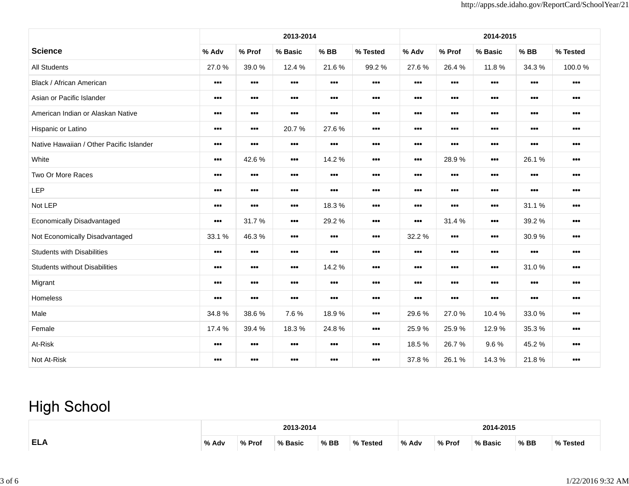|                                          |                                                              |                                                             | 2013-2014                                                    |                                                             |                                                              |                                                              |                                                             | 2014-2015<br>$%$ BB<br>% Tested<br>% Basic<br>34.3 %<br>11.8%<br><br>$\begin{array}{cc} \bullet & \bullet & \bullet \end{array}$<br>$\bullet\bullet\bullet$<br>$\begin{array}{cc} \bullet & \bullet & \bullet \end{array}$<br>$\begin{array}{ccc} \bullet & \bullet & \bullet \end{array}$<br>$\begin{array}{cc} \bullet & \bullet & \bullet \end{array}$<br>$\begin{array}{cc} \bullet & \bullet & \bullet \end{array}$<br><br>$\begin{array}{cc} \bullet & \bullet & \bullet \end{array}$<br>$\bullet\bullet\bullet$<br>$\begin{array}{cc} \bullet & \bullet & \bullet \end{array}$<br>$\begin{array}{cc} \bullet & \bullet & \bullet \end{array}$<br>$\begin{array}{ccc} \bullet & \bullet & \bullet \end{array}$<br>$\begin{array}{ccc} \bullet & \bullet & \bullet \end{array}$<br>$\begin{array}{cc} \bullet & \bullet & \bullet \end{array}$<br>26.1%<br>$\bullet\bullet\bullet$<br>$\begin{array}{cc} \bullet & \bullet & \bullet \end{array}$ |                                                             |                                                              |  |  |  |  |
|------------------------------------------|--------------------------------------------------------------|-------------------------------------------------------------|--------------------------------------------------------------|-------------------------------------------------------------|--------------------------------------------------------------|--------------------------------------------------------------|-------------------------------------------------------------|--------------------------------------------------------------------------------------------------------------------------------------------------------------------------------------------------------------------------------------------------------------------------------------------------------------------------------------------------------------------------------------------------------------------------------------------------------------------------------------------------------------------------------------------------------------------------------------------------------------------------------------------------------------------------------------------------------------------------------------------------------------------------------------------------------------------------------------------------------------------------------------------------------------------------------------------------------|-------------------------------------------------------------|--------------------------------------------------------------|--|--|--|--|
| <b>Science</b>                           | % Adv                                                        | % Prof                                                      | % Basic                                                      | $%$ BB                                                      | % Tested                                                     | % Adv                                                        | % Prof                                                      |                                                                                                                                                                                                                                                                                                                                                                                                                                                                                                                                                                                                                                                                                                                                                                                                                                                                                                                                                        |                                                             |                                                              |  |  |  |  |
| <b>All Students</b>                      | 27.0%                                                        | 39.0%                                                       | 12.4 %                                                       | 21.6%                                                       | 99.2%                                                        | 27.6%                                                        | 26.4%                                                       |                                                                                                                                                                                                                                                                                                                                                                                                                                                                                                                                                                                                                                                                                                                                                                                                                                                                                                                                                        |                                                             | 100.0%                                                       |  |  |  |  |
| Black / African American                 | $\begin{array}{cc} \bullet & \bullet & \bullet \end{array}$  | $\bullet\bullet\bullet$                                     | $\begin{array}{cc} \bullet & \bullet & \bullet \end{array}$  | $\bullet\bullet\bullet$                                     | $\bullet\bullet\bullet$                                      | $\begin{array}{cc} \bullet & \bullet & \bullet \end{array}$  | $\begin{array}{cc} \bullet & \bullet & \bullet \end{array}$ |                                                                                                                                                                                                                                                                                                                                                                                                                                                                                                                                                                                                                                                                                                                                                                                                                                                                                                                                                        |                                                             |                                                              |  |  |  |  |
| Asian or Pacific Islander                | $\begin{array}{cc} \bullet & \bullet & \bullet \end{array}$  | $\begin{array}{cc} \bullet & \bullet & \bullet \end{array}$ | $\begin{array}{ccc} \bullet & \bullet & \bullet \end{array}$ | $\begin{array}{cc} \bullet & \bullet & \bullet \end{array}$ | $\begin{array}{cc} \bullet & \bullet & \bullet \end{array}$  | $\begin{array}{ccc} \bullet & \bullet & \bullet \end{array}$ | $\begin{array}{cc} \bullet & \bullet & \bullet \end{array}$ |                                                                                                                                                                                                                                                                                                                                                                                                                                                                                                                                                                                                                                                                                                                                                                                                                                                                                                                                                        |                                                             |                                                              |  |  |  |  |
| American Indian or Alaskan Native        | $\begin{array}{ccc} \bullet & \bullet & \bullet \end{array}$ | $\bullet\bullet\bullet$                                     | $\cdots$                                                     | $\begin{array}{cc} \bullet & \bullet & \bullet \end{array}$ | $\begin{array}{cc} \bullet & \bullet & \bullet \end{array}$  | $\begin{array}{cc} \bullet & \bullet & \bullet \end{array}$  | $\begin{array}{cc} \bullet & \bullet & \bullet \end{array}$ |                                                                                                                                                                                                                                                                                                                                                                                                                                                                                                                                                                                                                                                                                                                                                                                                                                                                                                                                                        |                                                             |                                                              |  |  |  |  |
| Hispanic or Latino                       | $\begin{array}{c} \bullet\bullet\bullet \end{array}$         | $\begin{array}{c} \bullet\bullet\bullet \end{array}$        | 20.7%                                                        | 27.6%                                                       | $\cdots$                                                     | $\bullet\bullet\bullet$                                      | $\begin{array}{cc} \bullet & \bullet & \bullet \end{array}$ |                                                                                                                                                                                                                                                                                                                                                                                                                                                                                                                                                                                                                                                                                                                                                                                                                                                                                                                                                        |                                                             |                                                              |  |  |  |  |
| Native Hawaiian / Other Pacific Islander | $\begin{array}{cc} \bullet & \bullet & \bullet \end{array}$  | $\begin{array}{cc} \bullet & \bullet & \bullet \end{array}$ | $\begin{array}{cc} \bullet & \bullet & \bullet \end{array}$  |                                                             | $\begin{array}{cc} \bullet & \bullet & \bullet \end{array}$  | $\begin{array}{cc} \bullet & \bullet & \bullet \end{array}$  | $\begin{array}{cc} \bullet & \bullet & \bullet \end{array}$ |                                                                                                                                                                                                                                                                                                                                                                                                                                                                                                                                                                                                                                                                                                                                                                                                                                                                                                                                                        |                                                             |                                                              |  |  |  |  |
| White                                    | $\begin{array}{cc} \bullet & \bullet & \bullet \end{array}$  | 42.6%                                                       | $\begin{array}{cc} \bullet & \bullet & \bullet \end{array}$  | 14.2%                                                       | $\begin{array}{cc} \bullet & \bullet & \bullet \end{array}$  | $\begin{array}{cc} \bullet & \bullet & \bullet \end{array}$  | 28.9%                                                       |                                                                                                                                                                                                                                                                                                                                                                                                                                                                                                                                                                                                                                                                                                                                                                                                                                                                                                                                                        |                                                             |                                                              |  |  |  |  |
| Two Or More Races                        | $\begin{array}{ccc} \bullet & \bullet & \bullet \end{array}$ | $\begin{array}{c} \bullet\bullet\bullet \end{array}$        | $\begin{array}{c} \bullet\bullet\bullet \end{array}$         | $\begin{array}{cc} \bullet & \bullet & \bullet \end{array}$ | $\begin{array}{c} \bullet\bullet\bullet \end{array}$         | $\begin{array}{cc} \bullet & \bullet & \bullet \end{array}$  | $\begin{array}{cc} \bullet & \bullet & \bullet \end{array}$ | $\bullet\bullet\bullet$                                                                                                                                                                                                                                                                                                                                                                                                                                                                                                                                                                                                                                                                                                                                                                                                                                                                                                                                | $\begin{array}{cc} \bullet & \bullet & \bullet \end{array}$ | $\begin{array}{cc} \bullet & \bullet & \bullet \end{array}$  |  |  |  |  |
| LEP                                      | $\begin{array}{ccc} \bullet & \bullet & \bullet \end{array}$ | $\bullet\bullet\bullet$                                     | $\begin{array}{ccc} \bullet & \bullet & \bullet \end{array}$ |                                                             | $\begin{array}{cc} \bullet & \bullet & \bullet \end{array}$  | $\bullet\bullet\bullet$                                      | $\begin{array}{cc} \bullet & \bullet & \bullet \end{array}$ |                                                                                                                                                                                                                                                                                                                                                                                                                                                                                                                                                                                                                                                                                                                                                                                                                                                                                                                                                        | $\begin{array}{cc} \bullet & \bullet & \bullet \end{array}$ | $\begin{array}{cc} \bullet & \bullet & \bullet \end{array}$  |  |  |  |  |
| Not LEP                                  | $\begin{array}{ccc} \bullet & \bullet & \bullet \end{array}$ | $\begin{array}{cc} \bullet & \bullet & \bullet \end{array}$ | $\begin{array}{c} \bullet\bullet\bullet \end{array}$         | 18.3%                                                       | $\begin{array}{ccc} \bullet & \bullet & \bullet \end{array}$ | $\begin{array}{cc} \bullet & \bullet & \bullet \end{array}$  |                                                             | $\begin{array}{cc} \bullet & \bullet & \bullet \end{array}$                                                                                                                                                                                                                                                                                                                                                                                                                                                                                                                                                                                                                                                                                                                                                                                                                                                                                            | 31.1%                                                       | $\begin{array}{cc} \bullet & \bullet & \bullet \end{array}$  |  |  |  |  |
| Economically Disadvantaged               | $\begin{array}{ccc} \bullet & \bullet & \bullet \end{array}$ | 31.7%                                                       | $\begin{array}{cc} \bullet & \bullet & \bullet \end{array}$  | 29.2%                                                       | $\begin{array}{cc} \bullet & \bullet & \bullet \end{array}$  | $\begin{array}{ccc} \bullet & \bullet & \bullet \end{array}$ | 31.4%                                                       | $\bullet\bullet\bullet$                                                                                                                                                                                                                                                                                                                                                                                                                                                                                                                                                                                                                                                                                                                                                                                                                                                                                                                                | 39.2%                                                       | $\begin{array}{ccc} \bullet & \bullet & \bullet \end{array}$ |  |  |  |  |
| Not Economically Disadvantaged           | 33.1%                                                        | 46.3%                                                       | $\begin{array}{cc} \bullet & \bullet & \bullet \end{array}$  | $\bullet\bullet\bullet$                                     | $\begin{array}{cc} \bullet & \bullet & \bullet \end{array}$  | 32.2 %                                                       |                                                             | $\bullet\bullet\bullet$                                                                                                                                                                                                                                                                                                                                                                                                                                                                                                                                                                                                                                                                                                                                                                                                                                                                                                                                | 30.9%                                                       | $\begin{array}{cc} \bullet & \bullet & \bullet \end{array}$  |  |  |  |  |
| <b>Students with Disabilities</b>        | $\begin{array}{cc} \bullet & \bullet & \bullet \end{array}$  | $\begin{array}{c} \bullet\bullet\bullet\end{array}$         | $\begin{array}{ccc} \bullet & \bullet & \bullet \end{array}$ | $\bullet\bullet\bullet$                                     | $\begin{array}{ccc} \bullet & \bullet & \bullet \end{array}$ | $\bullet\bullet\bullet$                                      |                                                             | $\bullet\bullet\bullet$                                                                                                                                                                                                                                                                                                                                                                                                                                                                                                                                                                                                                                                                                                                                                                                                                                                                                                                                | $\begin{array}{cc} \bullet & \bullet & \bullet \end{array}$ | $\begin{array}{cc} \bullet & \bullet & \bullet \end{array}$  |  |  |  |  |
| <b>Students without Disabilities</b>     | $\begin{array}{cc} \bullet & \bullet & \bullet \end{array}$  | $\begin{array}{cc} \bullet & \bullet & \bullet \end{array}$ | $\begin{array}{ccc} \bullet & \bullet & \bullet \end{array}$ | 14.2%                                                       | $\begin{array}{cc} \bullet & \bullet & \bullet \end{array}$  | $\begin{array}{cc} \bullet & \bullet & \bullet \end{array}$  | $\begin{array}{cc} \bullet & \bullet & \bullet \end{array}$ | $\begin{array}{cc} \bullet & \bullet & \bullet \end{array}$                                                                                                                                                                                                                                                                                                                                                                                                                                                                                                                                                                                                                                                                                                                                                                                                                                                                                            | 31.0%                                                       | $\begin{array}{cc} \bullet & \bullet & \bullet \end{array}$  |  |  |  |  |
| Migrant                                  | $\begin{array}{ccc} \bullet & \bullet & \bullet \end{array}$ | $\bullet\bullet\bullet$                                     | $\begin{array}{ccc} \bullet & \bullet & \bullet \end{array}$ | $\begin{array}{cc} \bullet & \bullet & \bullet \end{array}$ |                                                              | $\begin{array}{cc} \bullet & \bullet & \bullet \end{array}$  |                                                             |                                                                                                                                                                                                                                                                                                                                                                                                                                                                                                                                                                                                                                                                                                                                                                                                                                                                                                                                                        |                                                             | $\begin{array}{ccc} \bullet & \bullet & \bullet \end{array}$ |  |  |  |  |
| Homeless                                 | $\begin{array}{cc} \bullet & \bullet & \bullet \end{array}$  | $\begin{array}{cc} \bullet & \bullet & \bullet \end{array}$ | $\begin{array}{cc} \bullet & \bullet & \bullet \end{array}$  | $\cdots$                                                    | $\begin{array}{cc} \bullet & \bullet & \bullet \end{array}$  | $\begin{array}{cc} \bullet & \bullet & \bullet \end{array}$  | $\begin{array}{cc} \bullet & \bullet & \bullet \end{array}$ | $\bullet\bullet\bullet$                                                                                                                                                                                                                                                                                                                                                                                                                                                                                                                                                                                                                                                                                                                                                                                                                                                                                                                                | $\begin{array}{cc} \bullet & \bullet & \bullet \end{array}$ | $\begin{array}{cc} \bullet & \bullet & \bullet \end{array}$  |  |  |  |  |
| Male                                     | 34.8%                                                        | 38.6%                                                       | 7.6%                                                         | 18.9%                                                       | $\begin{array}{ccc} \bullet & \bullet & \bullet \end{array}$ | 29.6%                                                        | 27.0%                                                       | 10.4 %                                                                                                                                                                                                                                                                                                                                                                                                                                                                                                                                                                                                                                                                                                                                                                                                                                                                                                                                                 | 33.0%                                                       | $\begin{array}{cc} \bullet & \bullet & \bullet \end{array}$  |  |  |  |  |
| Female                                   | 17.4 %                                                       | 39.4%                                                       | 18.3%                                                        | 24.8%                                                       |                                                              | 25.9%                                                        | 25.9%                                                       | 12.9%                                                                                                                                                                                                                                                                                                                                                                                                                                                                                                                                                                                                                                                                                                                                                                                                                                                                                                                                                  | 35.3%                                                       | $\begin{array}{ccc} \bullet & \bullet & \bullet \end{array}$ |  |  |  |  |
| At-Risk                                  | $\begin{array}{cc} \bullet & \bullet & \bullet \end{array}$  | $\begin{array}{cc} \bullet & \bullet & \bullet \end{array}$ | $\begin{array}{ccc} \bullet & \bullet & \bullet \end{array}$ |                                                             | $\begin{array}{cc} \bullet & \bullet & \bullet \end{array}$  | 18.5 %                                                       | 26.7%                                                       | 9.6%                                                                                                                                                                                                                                                                                                                                                                                                                                                                                                                                                                                                                                                                                                                                                                                                                                                                                                                                                   | 45.2%                                                       | $\begin{array}{cc} \bullet & \bullet & \bullet \end{array}$  |  |  |  |  |
| Not At-Risk                              | $\begin{array}{cc} \bullet & \bullet & \bullet \end{array}$  | $\begin{array}{cc} \bullet & \bullet & \bullet \end{array}$ | $\begin{array}{ccc} \bullet & \bullet & \bullet \end{array}$ | $\begin{array}{cc} \bullet & \bullet & \bullet \end{array}$ | $\begin{array}{cc} \bullet & \bullet & \bullet \end{array}$  | 37.8%                                                        | 26.1%                                                       | 14.3 %                                                                                                                                                                                                                                                                                                                                                                                                                                                                                                                                                                                                                                                                                                                                                                                                                                                                                                                                                 | 21.8%                                                       | $\begin{array}{cc} \bullet & \bullet & \bullet \end{array}$  |  |  |  |  |

## **High School**

|            |       | 2013-2014 |       |      |               |       | 14-2015<br>201                  |         |        |      |  |  |  |
|------------|-------|-----------|-------|------|---------------|-------|---------------------------------|---------|--------|------|--|--|--|
| <b>ELA</b> | % Adv | Prot      | Racir | % BB | O/2<br>Tested | % Adv | $\mathbf{O}/\mathbf{O}$<br>Prof | % Basic | $%$ BB | - 01 |  |  |  |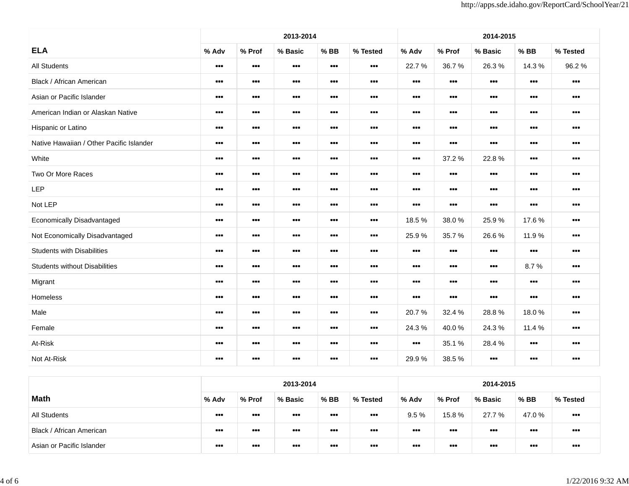|                                          |                                                              |                                                              | 2013-2014                                                    |                                                             |                                                              |                                                              |                                                             | 2014-2015                                                    |                                                              |                                                              |
|------------------------------------------|--------------------------------------------------------------|--------------------------------------------------------------|--------------------------------------------------------------|-------------------------------------------------------------|--------------------------------------------------------------|--------------------------------------------------------------|-------------------------------------------------------------|--------------------------------------------------------------|--------------------------------------------------------------|--------------------------------------------------------------|
| <b>ELA</b>                               | % Adv                                                        | % Prof                                                       | % Basic                                                      | $%$ BB                                                      | % Tested                                                     | % Adv                                                        | % Prof                                                      | % Basic                                                      | $%$ BB                                                       | % Tested                                                     |
| <b>All Students</b>                      | $\begin{array}{cc} \bullet & \bullet & \bullet \end{array}$  | $\begin{array}{cc} \bullet & \bullet & \bullet \end{array}$  | $\begin{array}{ccc} \bullet & \bullet & \bullet \end{array}$ | $\begin{array}{cc} \bullet & \bullet & \bullet \end{array}$ | $\begin{array}{cc} \bullet & \bullet & \bullet \end{array}$  | 22.7%                                                        | 36.7%                                                       | 26.3%                                                        | 14.3 %                                                       | 96.2%                                                        |
| Black / African American                 | $\begin{array}{cc} \bullet & \bullet & \bullet \end{array}$  | $\bullet\bullet\bullet$                                      | $\begin{array}{cc} \bullet & \bullet & \bullet \end{array}$  | $\bullet\bullet\bullet$                                     | $\begin{array}{cc} \bullet & \bullet & \bullet \end{array}$  | $\begin{array}{cc} \bullet & \bullet & \bullet \end{array}$  | $\begin{array}{cc} \bullet & \bullet & \bullet \end{array}$ | $\begin{array}{cc} \bullet & \bullet & \bullet \end{array}$  | $\bullet\bullet\bullet$                                      | $\begin{array}{cc} \bullet & \bullet & \bullet \end{array}$  |
| Asian or Pacific Islander                | $\bullet\bullet\bullet$                                      | $\bullet\bullet\bullet$                                      | $\begin{array}{cc} \bullet & \bullet & \bullet \end{array}$  | $\begin{array}{cc} \bullet & \bullet & \bullet \end{array}$ | $\begin{array}{cc} \bullet & \bullet & \bullet \end{array}$  | $\begin{array}{cc} \bullet & \bullet & \bullet \end{array}$  | $\begin{array}{cc} \bullet & \bullet & \bullet \end{array}$ | $\begin{array}{c} \bullet\bullet\bullet \end{array}$         | $\begin{array}{cc} \bullet & \bullet & \bullet \end{array}$  | $\begin{array}{cc} \bullet & \bullet & \bullet \end{array}$  |
| American Indian or Alaskan Native        | $\begin{array}{cc} \bullet & \bullet & \bullet \end{array}$  | $\begin{array}{ccc} \bullet & \bullet & \bullet \end{array}$ | $\begin{array}{ccc} \bullet & \bullet & \bullet \end{array}$ | $\begin{array}{cc} \bullet & \bullet & \bullet \end{array}$ | $\begin{array}{ccc} \bullet & \bullet & \bullet \end{array}$ | $\begin{array}{ccc} \bullet & \bullet & \bullet \end{array}$ | $\begin{array}{cc} \bullet & \bullet & \bullet \end{array}$ | $\begin{array}{cc} \bullet & \bullet & \bullet \end{array}$  | $\begin{array}{cc} \bullet & \bullet & \bullet \end{array}$  | $\begin{array}{ccc} \bullet & \bullet & \bullet \end{array}$ |
| Hispanic or Latino                       | $\begin{array}{cc} \bullet & \bullet & \bullet \end{array}$  | $\begin{array}{cc} \bullet & \bullet & \bullet \end{array}$  | $\begin{array}{cc} \bullet & \bullet & \bullet \end{array}$  | $\bullet\bullet\bullet$                                     | $\begin{array}{cc} \bullet & \bullet & \bullet \end{array}$  | $\begin{array}{cc} \bullet & \bullet & \bullet \end{array}$  | $\begin{array}{cc} \bullet & \bullet & \bullet \end{array}$ | $\begin{array}{cc} \bullet & \bullet & \bullet \end{array}$  | $\begin{array}{cc} \bullet & \bullet & \bullet \end{array}$  | $\begin{array}{ccc} \bullet & \bullet & \bullet \end{array}$ |
| Native Hawaiian / Other Pacific Islander | $\bullet\bullet\bullet$                                      | $\begin{array}{ccc} \bullet & \bullet & \bullet \end{array}$ | $\begin{array}{cc} \bullet & \bullet & \bullet \end{array}$  | $\begin{array}{cc} \bullet & \bullet & \bullet \end{array}$ | $\begin{array}{cc} \bullet & \bullet & \bullet \end{array}$  |                                                              | $\begin{array}{cc} \bullet & \bullet & \bullet \end{array}$ | $\begin{array}{cc} \bullet & \bullet & \bullet \end{array}$  | $\begin{array}{cc} \bullet & \bullet & \bullet \end{array}$  | $\begin{array}{c} \bullet\bullet\bullet \end{array}$         |
| White                                    | $\begin{array}{cc} \bullet & \bullet & \bullet \end{array}$  | $\bullet\bullet\bullet$                                      | $\begin{array}{cc} \bullet & \bullet & \bullet \end{array}$  | $\begin{array}{cc} \bullet & \bullet & \bullet \end{array}$ | $\begin{array}{cc} \bullet & \bullet & \bullet \end{array}$  | $\begin{array}{cc} \bullet & \bullet & \bullet \end{array}$  | 37.2 %                                                      | 22.8%                                                        | $\begin{array}{cc} \bullet & \bullet & \bullet \end{array}$  | $\begin{array}{cc} \bullet & \bullet & \bullet \end{array}$  |
| Two Or More Races                        | $\begin{array}{c} \bullet \bullet \bullet \end{array}$       | $\begin{array}{ccc} \bullet & \bullet & \bullet \end{array}$ | $\bullet\bullet\bullet$                                      | $\begin{array}{cc} \bullet & \bullet & \bullet \end{array}$ | $\begin{array}{cc} \bullet & \bullet & \bullet \end{array}$  | $\begin{array}{cc} \bullet & \bullet & \bullet \end{array}$  | $\begin{array}{c} \bullet\bullet\bullet\end{array}$         | $\begin{array}{cc} \bullet & \bullet & \bullet \end{array}$  | $\begin{array}{cc} \bullet & \bullet & \bullet \end{array}$  | $\begin{array}{ccc} \bullet & \bullet & \bullet \end{array}$ |
| <b>LEP</b>                               | $\begin{array}{cc} \bullet & \bullet & \bullet \end{array}$  | $\begin{array}{ccc} \bullet & \bullet & \bullet \end{array}$ | $\begin{array}{ccc} \bullet & \bullet & \bullet \end{array}$ | $\begin{array}{cc} \bullet & \bullet & \bullet \end{array}$ | $\begin{array}{cc} \bullet & \bullet & \bullet \end{array}$  | $\begin{array}{cc} \bullet & \bullet & \bullet \end{array}$  | $\begin{array}{cc} \bullet & \bullet & \bullet \end{array}$ | $\begin{array}{ccc} \bullet & \bullet & \bullet \end{array}$ | $\begin{array}{ccc} \bullet & \bullet & \bullet \end{array}$ | $\begin{array}{cc} \bullet & \bullet & \bullet \end{array}$  |
| Not LEP                                  | $\begin{array}{cc} \bullet & \bullet & \bullet \end{array}$  | $\begin{array}{cc} \bullet & \bullet & \bullet \end{array}$  | $\begin{array}{cc} \bullet & \bullet & \bullet \end{array}$  | $\begin{array}{cc} \bullet & \bullet & \bullet \end{array}$ | $\begin{array}{cc} \bullet & \bullet & \bullet \end{array}$  | $\begin{array}{cc} \bullet & \bullet & \bullet \end{array}$  | $\begin{array}{cc} \bullet & \bullet & \bullet \end{array}$ | $\begin{array}{cc} \bullet & \bullet & \bullet \end{array}$  | $\begin{array}{cc} \bullet & \bullet & \bullet \end{array}$  | $\begin{array}{cc} \bullet & \bullet & \bullet \end{array}$  |
| Economically Disadvantaged               | $\begin{array}{c} \bullet\bullet\bullet\end{array}$          | $\begin{array}{ccc} \bullet & \bullet & \bullet \end{array}$ | $\bullet\bullet\bullet$                                      | $\cdots$                                                    | $\begin{array}{c} \bullet\bullet\bullet \end{array}$         | 18.5 %                                                       | 38.0%                                                       | 25.9%                                                        | 17.6%                                                        | $\begin{array}{cc} \bullet & \bullet & \bullet \end{array}$  |
| Not Economically Disadvantaged           | $\begin{array}{cc} \bullet & \bullet & \bullet \end{array}$  | $\begin{array}{ccc} \bullet & \bullet & \bullet \end{array}$ | $\begin{array}{cc} \bullet & \bullet & \bullet \end{array}$  | $\begin{array}{cc} \bullet & \bullet & \bullet \end{array}$ | $\begin{array}{cc} \bullet & \bullet & \bullet \end{array}$  | 25.9%                                                        | 35.7%                                                       | 26.6%                                                        | 11.9 %                                                       | $\begin{array}{cc} \bullet & \bullet & \bullet \end{array}$  |
| <b>Students with Disabilities</b>        | $\begin{array}{c} \bullet\bullet\bullet\end{array}$          | $\begin{array}{ccc} \bullet & \bullet & \bullet \end{array}$ | $\begin{array}{cc} \bullet & \bullet & \bullet \end{array}$  | $\begin{array}{cc} \bullet & \bullet & \bullet \end{array}$ | $\begin{array}{cc} \bullet & \bullet & \bullet \end{array}$  | $\begin{array}{cc} \bullet & \bullet & \bullet \end{array}$  | $\begin{array}{cc} \bullet & \bullet & \bullet \end{array}$ | $\begin{array}{cc} \bullet & \bullet & \bullet \end{array}$  | $\bullet\bullet\bullet$                                      | $\begin{array}{cc} \bullet & \bullet & \bullet \end{array}$  |
| <b>Students without Disabilities</b>     | $\bullet\bullet\bullet$                                      | $\begin{array}{cc} \bullet & \bullet & \bullet \end{array}$  | $\begin{array}{cc} \bullet & \bullet & \bullet \end{array}$  | $\begin{array}{cc} \bullet & \bullet & \bullet \end{array}$ | $\begin{array}{cc} \bullet & \bullet & \bullet \end{array}$  | $\begin{array}{cc} \bullet & \bullet & \bullet \end{array}$  | $\begin{array}{cc} \bullet & \bullet & \bullet \end{array}$ | $\begin{array}{cc} \bullet & \bullet & \bullet \end{array}$  | 8.7%                                                         | $\begin{array}{cc} \bullet & \bullet & \bullet \end{array}$  |
| Migrant                                  | $\begin{array}{cc} \bullet & \bullet & \bullet \end{array}$  | $\begin{array}{ccc} \bullet & \bullet & \bullet \end{array}$ | $\begin{array}{ccc} \bullet & \bullet & \bullet \end{array}$ | $\cdots$                                                    | $\begin{array}{ccc} \bullet & \bullet & \bullet \end{array}$ | $\begin{array}{cc} \bullet & \bullet & \bullet \end{array}$  | $\begin{array}{cc} \bullet & \bullet & \bullet \end{array}$ | $\bullet\bullet\bullet$                                      | $\begin{array}{cc} \bullet & \bullet & \bullet \end{array}$  | $\cdots$                                                     |
| Homeless                                 | $\begin{array}{ccc} \bullet & \bullet & \bullet \end{array}$ | $\bullet\bullet\bullet$                                      | $\begin{array}{ccc} \bullet & \bullet & \bullet \end{array}$ | $\begin{array}{cc} \bullet & \bullet & \bullet \end{array}$ | $\begin{array}{cc} \bullet & \bullet & \bullet \end{array}$  | $\begin{array}{cc} \bullet & \bullet & \bullet \end{array}$  | $\bullet\bullet\bullet$                                     | $\begin{array}{cc} \bullet & \bullet & \bullet \end{array}$  | $\begin{array}{cc} \bullet & \bullet & \bullet \end{array}$  | $\begin{array}{ccc} \bullet & \bullet & \bullet \end{array}$ |
| Male                                     | $\begin{array}{cc} \bullet & \bullet & \bullet \end{array}$  | $\begin{array}{cc} \bullet & \bullet & \bullet \end{array}$  | $\begin{array}{cc} \bullet & \bullet & \bullet \end{array}$  | $\begin{array}{cc} \bullet & \bullet & \bullet \end{array}$ | $\begin{array}{cc} \bullet & \bullet & \bullet \end{array}$  | 20.7%                                                        | 32.4 %                                                      | 28.8%                                                        | 18.0%                                                        | $\begin{array}{cc} \bullet & \bullet & \bullet \end{array}$  |
| Female                                   | $\begin{array}{c} \bullet\bullet\bullet\end{array}$          | $\begin{array}{c} \bullet\bullet\bullet \end{array}$         | $\begin{array}{c} \bullet\bullet\bullet \end{array}$         | $\cdots$                                                    |                                                              | 24.3%                                                        | 40.0%                                                       | 24.3%                                                        | 11.4 %                                                       | $\begin{array}{cc} \bullet & \bullet & \bullet \end{array}$  |
| At-Risk                                  | $\begin{array}{ccc} \bullet & \bullet & \bullet \end{array}$ | $\cdots$                                                     | $\begin{array}{cc} \bullet & \bullet & \bullet \end{array}$  | $\begin{array}{cc} \bullet & \bullet & \bullet \end{array}$ | $\begin{array}{ccc} \bullet & \bullet & \bullet \end{array}$ | $\cdots$                                                     | 35.1 %                                                      | 28.4 %                                                       | $\begin{array}{cc} \bullet & \bullet & \bullet \end{array}$  | $\begin{array}{cc} \bullet & \bullet & \bullet \end{array}$  |
| Not At-Risk                              | $\begin{array}{cc} \bullet & \bullet & \bullet \end{array}$  | $\bullet\bullet\bullet$                                      | $\bullet\bullet\bullet$                                      | $\bullet\bullet\bullet$                                     | $\begin{array}{cc} \bullet & \bullet & \bullet \end{array}$  | 29.9%                                                        | 38.5%                                                       | $\begin{array}{cc} \bullet & \bullet & \bullet \end{array}$  | $\bullet$                                                    | $\begin{array}{ccc} \bullet & \bullet & \bullet \end{array}$ |

|                           |                                                      | 2013-2014                                                    |                                                              |                         |                         |                         |                                                              | 2014-2015               |                         |                                                      |  |  |  |  |
|---------------------------|------------------------------------------------------|--------------------------------------------------------------|--------------------------------------------------------------|-------------------------|-------------------------|-------------------------|--------------------------------------------------------------|-------------------------|-------------------------|------------------------------------------------------|--|--|--|--|
| <b>Math</b>               | % Adv                                                | % Prof                                                       | % Basic                                                      | $%$ BB                  | % Tested                | % Adv                   | % Prof                                                       | % Basic                 | $%$ BB                  | % Tested                                             |  |  |  |  |
| <b>All Students</b>       | $\bullet\bullet\bullet$                              | $\begin{array}{ccc} \bullet & \bullet & \bullet \end{array}$ | $\begin{array}{ccc} \bullet & \bullet & \bullet \end{array}$ | $\bullet\bullet\bullet$ | $\bullet\bullet\bullet$ | 9.5%                    | 15.8 %                                                       | 27.7 %                  | 47.0 %                  | $\cdots$                                             |  |  |  |  |
| Black / African American  | $\bullet\bullet\bullet$                              | $\bullet\bullet\bullet$                                      | $\begin{array}{ccc} \bullet & \bullet & \bullet \end{array}$ | $\bullet\bullet\bullet$ | $\bullet\bullet\bullet$ | $\bullet\bullet\bullet$ | $\begin{array}{ccc} \bullet & \bullet & \bullet \end{array}$ | $\bullet\bullet\bullet$ | $\bullet\bullet\bullet$ | $\bullet\bullet\bullet$                              |  |  |  |  |
| Asian or Pacific Islander | $\begin{array}{c} \bullet\bullet\bullet \end{array}$ | $\bullet\bullet\bullet$                                      | $\begin{array}{ccc} \bullet & \bullet & \bullet \end{array}$ | $\bullet\bullet\bullet$ | $\bullet\bullet\bullet$ | $\bullet\bullet\bullet$ | $\bullet\bullet\bullet$                                      | $\bullet\bullet\bullet$ | $\bullet\bullet\bullet$ | $\begin{array}{c} \bullet\bullet\bullet \end{array}$ |  |  |  |  |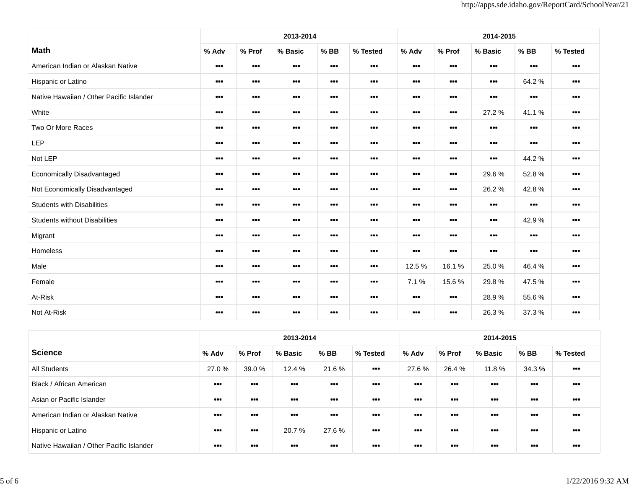|                                          |                                                              |                                                              | 2013-2014                                                    |                                                              |                                                              |                                                              |                                                              | 2014-2015                                                    |                                                              |                                                              |
|------------------------------------------|--------------------------------------------------------------|--------------------------------------------------------------|--------------------------------------------------------------|--------------------------------------------------------------|--------------------------------------------------------------|--------------------------------------------------------------|--------------------------------------------------------------|--------------------------------------------------------------|--------------------------------------------------------------|--------------------------------------------------------------|
| <b>Math</b>                              | % Adv                                                        | % Prof                                                       | % Basic                                                      | $%$ BB                                                       | % Tested                                                     | % Adv                                                        | % Prof                                                       | % Basic                                                      | $%$ BB                                                       | % Tested                                                     |
| American Indian or Alaskan Native        | $\begin{array}{cc} \bullet & \bullet & \bullet \end{array}$  | $\begin{array}{ccc} \bullet & \bullet & \bullet \end{array}$ | $\begin{array}{ccc} \bullet & \bullet & \bullet \end{array}$ | $\bullet\bullet\bullet$                                      | $\begin{array}{cc} \bullet & \bullet & \bullet \end{array}$  | $\begin{array}{cc} \bullet & \bullet & \bullet \end{array}$  | $\begin{array}{cc} \bullet & \bullet & \bullet \end{array}$  | $\begin{array}{ccc} \bullet & \bullet & \bullet \end{array}$ | $\begin{array}{ccc} \bullet & \bullet & \bullet \end{array}$ | $\begin{array}{ccc} \bullet & \bullet & \bullet \end{array}$ |
| Hispanic or Latino                       | $\bullet\bullet\bullet$                                      | $\bullet\bullet\bullet$                                      | $\begin{array}{ccc} \bullet & \bullet & \bullet \end{array}$ | $\begin{array}{cc} \bullet & \bullet & \bullet \end{array}$  | $\bullet\bullet\bullet$                                      | $\begin{array}{cc} \bullet & \bullet & \bullet \end{array}$  | $\begin{array}{ccc} \bullet & \bullet & \bullet \end{array}$ | $\begin{array}{ccc} \bullet & \bullet & \bullet \end{array}$ | 64.2 %                                                       | $\bullet\bullet\bullet$                                      |
| Native Hawaiian / Other Pacific Islander | $\begin{array}{cc} \bullet & \bullet & \bullet \end{array}$  | $\bullet\bullet\bullet$                                      | $\bullet\bullet\bullet$                                      | $\begin{array}{cc} \bullet & \bullet & \bullet \end{array}$  | $\begin{array}{cc} \bullet & \bullet & \bullet \end{array}$  | $\begin{array}{c} \bullet\bullet\bullet\end{array}$          | $\begin{array}{c} \bullet\bullet\bullet\end{array}$          | $\begin{array}{c} \bullet\bullet\bullet \end{array}$         | $\begin{array}{cc} \bullet & \bullet & \bullet \end{array}$  | $\begin{array}{cc} \bullet & \bullet & \bullet \end{array}$  |
| White                                    | $\begin{array}{ccc} \bullet & \bullet & \bullet \end{array}$ | $\bullet\bullet\bullet$                                      | $\begin{array}{ccc} \bullet & \bullet & \bullet \end{array}$ | $\begin{array}{ccc} \bullet & \bullet & \bullet \end{array}$ | $\begin{array}{ccc} \bullet & \bullet & \bullet \end{array}$ | $\begin{array}{ccc} \bullet & \bullet & \bullet \end{array}$ | $\begin{array}{ccc} \bullet & \bullet & \bullet \end{array}$ | 27.2 %                                                       | 41.1%                                                        | $\begin{array}{ccc} \bullet & \bullet & \bullet \end{array}$ |
| Two Or More Races                        | $\bullet\bullet\bullet$                                      | $\begin{array}{ccc} \bullet & \bullet & \bullet \end{array}$ | $\begin{array}{ccc} \bullet & \bullet & \bullet \end{array}$ | $\begin{array}{cc} \bullet & \bullet & \bullet \end{array}$  | $\begin{array}{cc} \bullet & \bullet & \bullet \end{array}$  | $\begin{array}{c} \bullet\bullet\bullet \end{array}$         | $\begin{array}{cc} \bullet & \bullet & \bullet \end{array}$  | $\begin{array}{c} \bullet\bullet\bullet \end{array}$         | $\begin{array}{cc} \bullet & \bullet & \bullet \end{array}$  | $\begin{array}{ccc} \bullet & \bullet & \bullet \end{array}$ |
| LEP                                      | $\bullet\bullet\bullet$                                      | $\begin{array}{ccc} \bullet & \bullet & \bullet \end{array}$ | $\begin{array}{ccc} \bullet & \bullet & \bullet \end{array}$ | $\begin{array}{cc} \bullet & \bullet & \bullet \end{array}$  |                                                              | $\begin{array}{ccc} \bullet & \bullet & \bullet \end{array}$ | $\begin{array}{ccc} \bullet & \bullet & \bullet \end{array}$ | $\begin{array}{ccc} \bullet & \bullet & \bullet \end{array}$ | $\begin{array}{ccc} \bullet & \bullet & \bullet \end{array}$ | $\begin{array}{ccc} \bullet & \bullet & \bullet \end{array}$ |
| Not LEP                                  | $\begin{array}{cc} \bullet & \bullet & \bullet \end{array}$  | $\begin{array}{ccc} \bullet & \bullet & \bullet \end{array}$ | $\begin{array}{cc} \bullet & \bullet & \bullet \end{array}$  | $\begin{array}{cc} \bullet & \bullet & \bullet \end{array}$  | $\cdots$                                                     | $\begin{array}{cc} \bullet & \bullet & \bullet \end{array}$  | $\begin{array}{cc} \bullet & \bullet & \bullet \end{array}$  | $\begin{array}{cc} \bullet & \bullet & \bullet \end{array}$  | 44.2 %                                                       | $\begin{array}{cc} \bullet & \bullet & \bullet \end{array}$  |
| Economically Disadvantaged               | $\bullet\bullet\bullet$                                      | $\begin{array}{ccc} \bullet & \bullet & \bullet \end{array}$ | $\begin{array}{cc} \bullet & \bullet & \bullet \end{array}$  | $\bullet\bullet\bullet$                                      | $\begin{array}{cc} \bullet & \bullet & \bullet \end{array}$  | $\begin{array}{cc} \bullet & \bullet & \bullet \end{array}$  | $\begin{array}{cc} \bullet & \bullet & \bullet \end{array}$  | 29.6%                                                        | 52.8%                                                        | $\begin{array}{ccc} \bullet & \bullet & \bullet \end{array}$ |
| Not Economically Disadvantaged           |                                                              | $\bullet\bullet\bullet$                                      | $\bullet\bullet\bullet$                                      | $\bullet\bullet\bullet$                                      |                                                              | $\bullet\bullet\bullet$                                      | $\begin{array}{ccc} \bullet & \bullet & \bullet \end{array}$ | 26.2%                                                        | 42.8%                                                        | $\begin{array}{ccc} \bullet & \bullet & \bullet \end{array}$ |
| <b>Students with Disabilities</b>        | $\bullet\bullet\bullet$                                      | $\begin{array}{c} \bullet\bullet\bullet \end{array}$         | $\begin{array}{cc} \bullet & \bullet & \bullet \end{array}$  | $\begin{array}{cc} \bullet & \bullet & \bullet \end{array}$  |                                                              | $\begin{array}{cc} \bullet & \bullet & \bullet \end{array}$  | $\begin{array}{cc} \bullet & \bullet & \bullet \end{array}$  | $\begin{array}{cc} \bullet & \bullet & \bullet \end{array}$  | $\begin{array}{ccc} \bullet & \bullet & \bullet \end{array}$ | $\cdots$                                                     |
| <b>Students without Disabilities</b>     | $\cdots$                                                     | $\bullet\bullet\bullet$                                      | $\begin{array}{cc} \bullet & \bullet & \bullet \end{array}$  | $\begin{array}{cc} \bullet & \bullet & \bullet \end{array}$  |                                                              | $\begin{array}{c} \bullet\bullet\bullet \end{array}$         | $\begin{array}{cc} \bullet & \bullet & \bullet \end{array}$  | $\begin{array}{c} \bullet\bullet\bullet \end{array}$         | 42.9%                                                        | $\cdots$                                                     |
| Migrant                                  | $\bullet\bullet\bullet$                                      | $\begin{array}{c} \bullet\bullet\bullet \end{array}$         | $\begin{array}{ccc} \bullet & \bullet & \bullet \end{array}$ | $\begin{array}{ccc} \bullet & \bullet & \bullet \end{array}$ | $\begin{array}{cc} \bullet & \bullet & \bullet \end{array}$  | $\begin{array}{ccc} \bullet & \bullet & \bullet \end{array}$ | $\begin{array}{ccc} \bullet & \bullet & \bullet \end{array}$ | $\bullet\bullet\bullet$                                      | $\begin{array}{ccc} \bullet & \bullet & \bullet \end{array}$ | $\begin{array}{ccc} \bullet & \bullet & \bullet \end{array}$ |
| Homeless                                 | $\begin{array}{cc} \bullet & \bullet & \bullet \end{array}$  | $\begin{array}{ccc} \bullet & \bullet & \bullet \end{array}$ | $\begin{array}{cc} \bullet & \bullet & \bullet \end{array}$  | $\begin{array}{cc} \bullet & \bullet & \bullet \end{array}$  | $\begin{array}{cc} \bullet & \bullet & \bullet \end{array}$  | $\begin{array}{cc} \bullet & \bullet & \bullet \end{array}$  | $\begin{array}{cc} \bullet & \bullet & \bullet \end{array}$  | $\begin{array}{cc} \bullet & \bullet & \bullet \end{array}$  | $\bullet\bullet\bullet$                                      | $\begin{array}{ccc} \bullet & \bullet & \bullet \end{array}$ |
| Male                                     | $\bullet\bullet\bullet$                                      | $\begin{array}{c} \bullet\bullet\bullet \end{array}$         | $\begin{array}{ccc} \bullet & \bullet & \bullet \end{array}$ | $\begin{array}{cc} \bullet & \bullet & \bullet \end{array}$  |                                                              | 12.5 %                                                       | 16.1%                                                        | 25.0%                                                        | 46.4%                                                        | $\begin{array}{cc} \bullet & \bullet & \bullet \end{array}$  |
| Female                                   | $\cdots$                                                     | $\cdots$                                                     | $\begin{array}{ccc} \bullet & \bullet & \bullet \end{array}$ | $\begin{array}{ccc} \bullet & \bullet & \bullet \end{array}$ |                                                              | 7.1 %                                                        | 15.6%                                                        | 29.8%                                                        | 47.5 %                                                       | $\cdots$                                                     |
| At-Risk                                  | $\begin{array}{cc} \bullet & \bullet & \bullet \end{array}$  | $\begin{array}{ccc} \bullet & \bullet & \bullet \end{array}$ | $\begin{array}{cc} \bullet & \bullet & \bullet \end{array}$  | $\begin{array}{cc} \bullet & \bullet & \bullet \end{array}$  | $\begin{array}{cc} \bullet & \bullet & \bullet \end{array}$  | $\begin{array}{cc} \bullet & \bullet & \bullet \end{array}$  | $\begin{array}{c} \bullet\bullet\bullet\end{array}$          | 28.9%                                                        | 55.6%                                                        | $\begin{array}{cc} \bullet & \bullet & \bullet \end{array}$  |
| Not At-Risk                              | $\bullet\bullet\bullet$                                      | $\bullet\bullet\bullet$                                      | $\begin{array}{ccc} \bullet & \bullet & \bullet \end{array}$ | $\bullet\bullet\bullet$                                      |                                                              | $\begin{array}{ccc} \bullet & \bullet & \bullet \end{array}$ | $\begin{array}{ccc} \bullet & \bullet & \bullet \end{array}$ | 26.3%                                                        | 37.3 %                                                       | $\bullet\bullet\bullet$                                      |

|                                          |                         |                         | 2013-2014               |                         |                                                              | 2014-2015               |                                                              |                                                              |                         |                                                              |
|------------------------------------------|-------------------------|-------------------------|-------------------------|-------------------------|--------------------------------------------------------------|-------------------------|--------------------------------------------------------------|--------------------------------------------------------------|-------------------------|--------------------------------------------------------------|
| <b>Science</b>                           | % Adv                   | % Prof                  | % Basic                 | $%$ BB                  | % Tested                                                     | % Adv                   | % Prof                                                       | % Basic                                                      | $%$ BB                  | % Tested                                                     |
| <b>All Students</b>                      | 27.0 %                  | 39.0 %                  | 12.4 %                  | 21.6%                   | $\begin{array}{cc} \bullet & \bullet & \bullet \end{array}$  | 27.6 %                  | 26.4 %                                                       | 11.8 %                                                       | 34.3 %                  | $\begin{array}{ccc} \bullet & \bullet & \bullet \end{array}$ |
| Black / African American                 | $\bullet\bullet\bullet$ | $\bullet\bullet\bullet$ | $\bullet\bullet\bullet$ | $\bullet\bullet\bullet$ | $\bullet\bullet\bullet$                                      | $\bullet\bullet\bullet$ | $\begin{array}{c} \bullet\bullet\bullet \end{array}$         | $\bullet\bullet\bullet$                                      | $\bullet\bullet\bullet$ | $\begin{array}{ccc} \bullet & \bullet & \bullet \end{array}$ |
| Asian or Pacific Islander                | $\bullet\bullet\bullet$ | $\bullet\bullet\bullet$ | $\bullet\bullet\bullet$ | $\bullet\bullet\bullet$ | $\bullet\bullet\bullet$                                      | $\bullet\bullet\bullet$ | $\begin{array}{c} \bullet\bullet\bullet \end{array}$         | $\bullet\bullet\bullet$                                      | -                       | $\begin{array}{cc} \bullet & \bullet & \bullet \end{array}$  |
| American Indian or Alaskan Native        | $\bullet\bullet\bullet$ | $\bullet\bullet\bullet$ | $\bullet\bullet\bullet$ | $\bullet\bullet\bullet$ | $\begin{array}{cc} \bullet & \bullet & \bullet \end{array}$  | $\bullet\bullet\bullet$ | $\bullet\bullet\bullet$                                      | $\bullet\bullet\bullet$                                      | $\bullet\bullet\bullet$ | $\bullet\bullet\bullet$                                      |
| Hispanic or Latino                       | $\bullet\bullet\bullet$ | $\bullet$               | 20.7 %                  | 27.6%                   | $\begin{array}{ccc} \bullet & \bullet & \bullet \end{array}$ | $\bullet\bullet\bullet$ | $\begin{array}{ccc} \bullet & \bullet & \bullet \end{array}$ | $\begin{array}{ccc} \bullet & \bullet & \bullet \end{array}$ | $\bullet\bullet\bullet$ | $\begin{array}{ccc} \bullet & \bullet & \bullet \end{array}$ |
| Native Hawaiian / Other Pacific Islander | $\cdots$                | $\bullet\bullet\bullet$ | $\bullet\bullet\bullet$ | $\bullet\bullet\bullet$ | $\begin{array}{ccc} \bullet & \bullet & \bullet \end{array}$ | $\bullet\bullet\bullet$ | $\bullet\bullet\bullet$                                      | $\bullet\bullet\bullet$                                      | $\bullet\bullet\bullet$ | $\begin{array}{ccc} \bullet & \bullet & \bullet \end{array}$ |